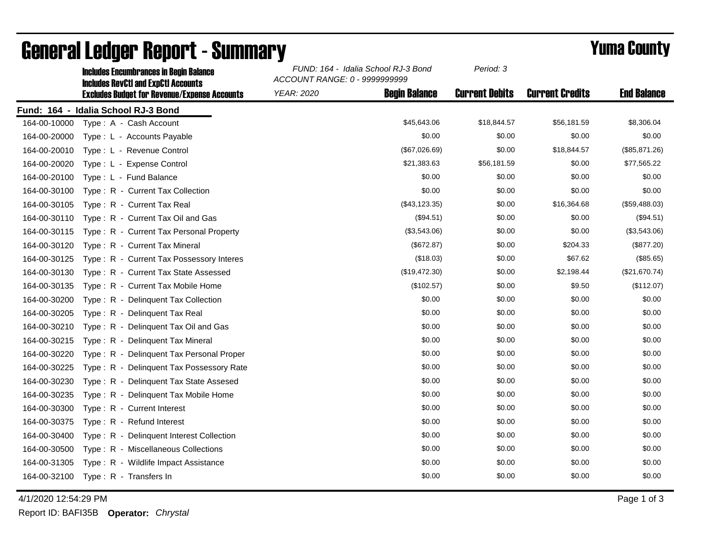|              | <b>Includes Encumbrances in Begin Balance</b><br><b>Includes RevCtI and ExpCtI Accounts</b> | FUND: 164 - Idalia School RJ-3 Bond<br>ACCOUNT RANGE: 0 - 9999999999 |                      | Period: 3             |                        |                    |
|--------------|---------------------------------------------------------------------------------------------|----------------------------------------------------------------------|----------------------|-----------------------|------------------------|--------------------|
|              | <b>Excludes Budget for Revenue/Expense Accounts</b>                                         | <b>YEAR: 2020</b>                                                    | <b>Begin Balance</b> | <b>Current Debits</b> | <b>Current Credits</b> | <b>End Balance</b> |
|              | Fund: 164 - Idalia School RJ-3 Bond                                                         |                                                                      |                      |                       |                        |                    |
| 164-00-10000 | Type: A - Cash Account                                                                      |                                                                      | \$45,643.06          | \$18,844.57           | \$56,181.59            | \$8,306.04         |
| 164-00-20000 | Type: L - Accounts Payable                                                                  |                                                                      | \$0.00               | \$0.00                | \$0.00                 | \$0.00             |
| 164-00-20010 | Type: L - Revenue Control                                                                   |                                                                      | (\$67,026.69)        | \$0.00                | \$18,844.57            | (\$85,871.26)      |
| 164-00-20020 | Type: L - Expense Control                                                                   |                                                                      | \$21,383.63          | \$56,181.59           | \$0.00                 | \$77,565.22        |
| 164-00-20100 | Type: L - Fund Balance                                                                      |                                                                      | \$0.00               | \$0.00                | \$0.00                 | \$0.00             |
| 164-00-30100 | Type: R - Current Tax Collection                                                            |                                                                      | \$0.00               | \$0.00                | \$0.00                 | \$0.00             |
| 164-00-30105 | Type: R - Current Tax Real                                                                  |                                                                      | (\$43, 123.35)       | \$0.00                | \$16,364.68            | (\$59,488.03)      |
| 164-00-30110 | Type: R - Current Tax Oil and Gas                                                           |                                                                      | (\$94.51)            | \$0.00                | \$0.00                 | (\$94.51)          |
| 164-00-30115 | Type: R - Current Tax Personal Property                                                     |                                                                      | (\$3,543.06)         | \$0.00                | \$0.00                 | (\$3,543.06)       |
| 164-00-30120 | Type: R - Current Tax Mineral                                                               |                                                                      | (\$672.87)           | \$0.00                | \$204.33               | (\$877.20)         |
| 164-00-30125 | Type: R - Current Tax Possessory Interes                                                    |                                                                      | (\$18.03)            | \$0.00                | \$67.62                | (\$85.65)          |
| 164-00-30130 | Type: R - Current Tax State Assessed                                                        |                                                                      | (\$19,472.30)        | \$0.00                | \$2,198.44             | (\$21,670.74)      |
| 164-00-30135 | Type: R - Current Tax Mobile Home                                                           |                                                                      | (\$102.57)           | \$0.00                | \$9.50                 | (\$112.07)         |
| 164-00-30200 | Type: R - Delinquent Tax Collection                                                         |                                                                      | \$0.00               | \$0.00                | \$0.00                 | \$0.00             |
| 164-00-30205 | Type: R - Delinquent Tax Real                                                               |                                                                      | \$0.00               | \$0.00                | \$0.00                 | \$0.00             |
| 164-00-30210 | Type: R - Delinquent Tax Oil and Gas                                                        |                                                                      | \$0.00               | \$0.00                | \$0.00                 | \$0.00             |
| 164-00-30215 | Type: R - Delinquent Tax Mineral                                                            |                                                                      | \$0.00               | \$0.00                | \$0.00                 | \$0.00             |
| 164-00-30220 | Type: R - Delinguent Tax Personal Proper                                                    |                                                                      | \$0.00               | \$0.00                | \$0.00                 | \$0.00             |
| 164-00-30225 | Type: R - Delinquent Tax Possessory Rate                                                    |                                                                      | \$0.00               | \$0.00                | \$0.00                 | \$0.00             |
| 164-00-30230 | Type: R - Delinguent Tax State Assesed                                                      |                                                                      | \$0.00               | \$0.00                | \$0.00                 | \$0.00             |
| 164-00-30235 | Type: R - Delinquent Tax Mobile Home                                                        |                                                                      | \$0.00               | \$0.00                | \$0.00                 | \$0.00             |
| 164-00-30300 | Type: R - Current Interest                                                                  |                                                                      | \$0.00               | \$0.00                | \$0.00                 | \$0.00             |
| 164-00-30375 | Type: R - Refund Interest                                                                   |                                                                      | \$0.00               | \$0.00                | \$0.00                 | \$0.00             |
| 164-00-30400 | Type: R - Delinquent Interest Collection                                                    |                                                                      | \$0.00               | \$0.00                | \$0.00                 | \$0.00             |
| 164-00-30500 | Type: R - Miscellaneous Collections                                                         |                                                                      | \$0.00               | \$0.00                | \$0.00                 | \$0.00             |
| 164-00-31305 | Type: R - Wildlife Impact Assistance                                                        |                                                                      | \$0.00               | \$0.00                | \$0.00                 | \$0.00             |
| 164-00-32100 | Type: R - Transfers In                                                                      |                                                                      | \$0.00               | \$0.00                | \$0.00                 | \$0.00             |

## General Ledger Report - Summary **Example 2018** Yuma County

4/1/2020 12:54:29 PM Page 1 of 3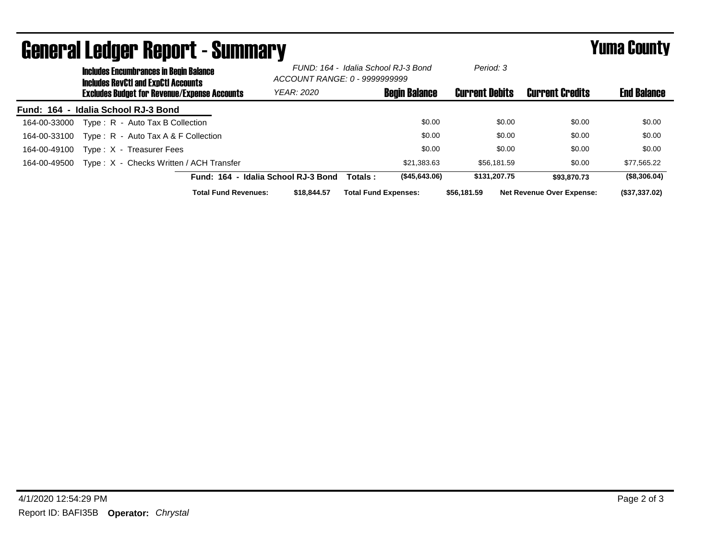| <b>General Ledger Report - Summary</b> |                                                                                             |                             |                                                                      |                             | <b>Yuma County</b>   |                       |                                  |                    |
|----------------------------------------|---------------------------------------------------------------------------------------------|-----------------------------|----------------------------------------------------------------------|-----------------------------|----------------------|-----------------------|----------------------------------|--------------------|
|                                        | <b>Includes Encumbrances in Begin Balance</b><br><b>Includes RevCtI and ExpCtI Accounts</b> |                             | FUND: 164 - Idalia School RJ-3 Bond<br>ACCOUNT RANGE: 0 - 9999999999 |                             | Period: 3            |                       |                                  |                    |
|                                        | <b>Excludes Budget for Revenue/Expense Accounts</b>                                         |                             | <b>YEAR: 2020</b>                                                    |                             | <b>Begin Balance</b> | <b>Current Debits</b> | <b>Current Credits</b>           | <b>End Balance</b> |
|                                        | Fund: 164 - Idalia School RJ-3 Bond                                                         |                             |                                                                      |                             |                      |                       |                                  |                    |
| 164-00-33000                           | Type: R - Auto Tax B Collection                                                             |                             |                                                                      |                             | \$0.00               | \$0.00                | \$0.00                           | \$0.00             |
| 164-00-33100                           | Type: R - Auto Tax A & F Collection                                                         |                             |                                                                      |                             | \$0.00               | \$0.00                | \$0.00                           | \$0.00             |
| 164-00-49100                           | Type: X - Treasurer Fees                                                                    |                             |                                                                      |                             | \$0.00               | \$0.00                | \$0.00                           | \$0.00             |
| 164-00-49500                           | Type: X - Checks Written / ACH Transfer                                                     |                             |                                                                      |                             | \$21,383.63          | \$56.181.59           | \$0.00                           | \$77,565.22        |
|                                        |                                                                                             |                             | Fund: 164 - Idalia School RJ-3 Bond                                  | Totals :                    | (\$45,643.06)        | \$131,207.75          | \$93,870,73                      | (\$8,306.04)       |
|                                        |                                                                                             | <b>Total Fund Revenues:</b> | \$18,844.57                                                          | <b>Total Fund Expenses:</b> |                      | \$56,181.59           | <b>Net Revenue Over Expense:</b> | (\$37,337.02)      |